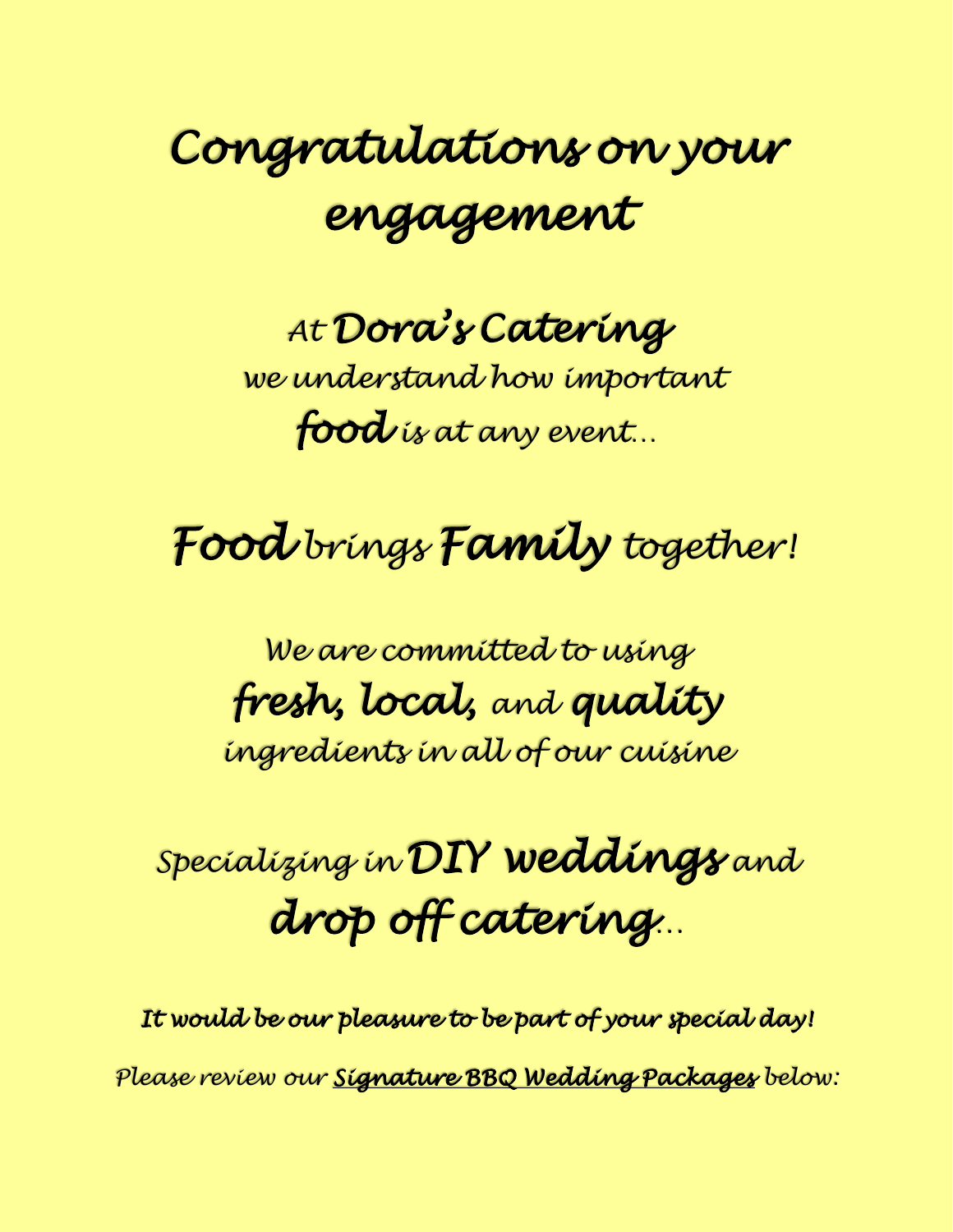# *Congratulations on your engagement*

*At Dora's Catering we understand how important food is at any event…*

## *Food brings Family together!*

*We are committed to using fresh, local, and quality ingredients in all of our cuisine*

## *Specializing in DIY weddings and drop off catering…*

*It would be our pleasure to be part of your special day! Please review our Signature BBQ Wedding Packages below:*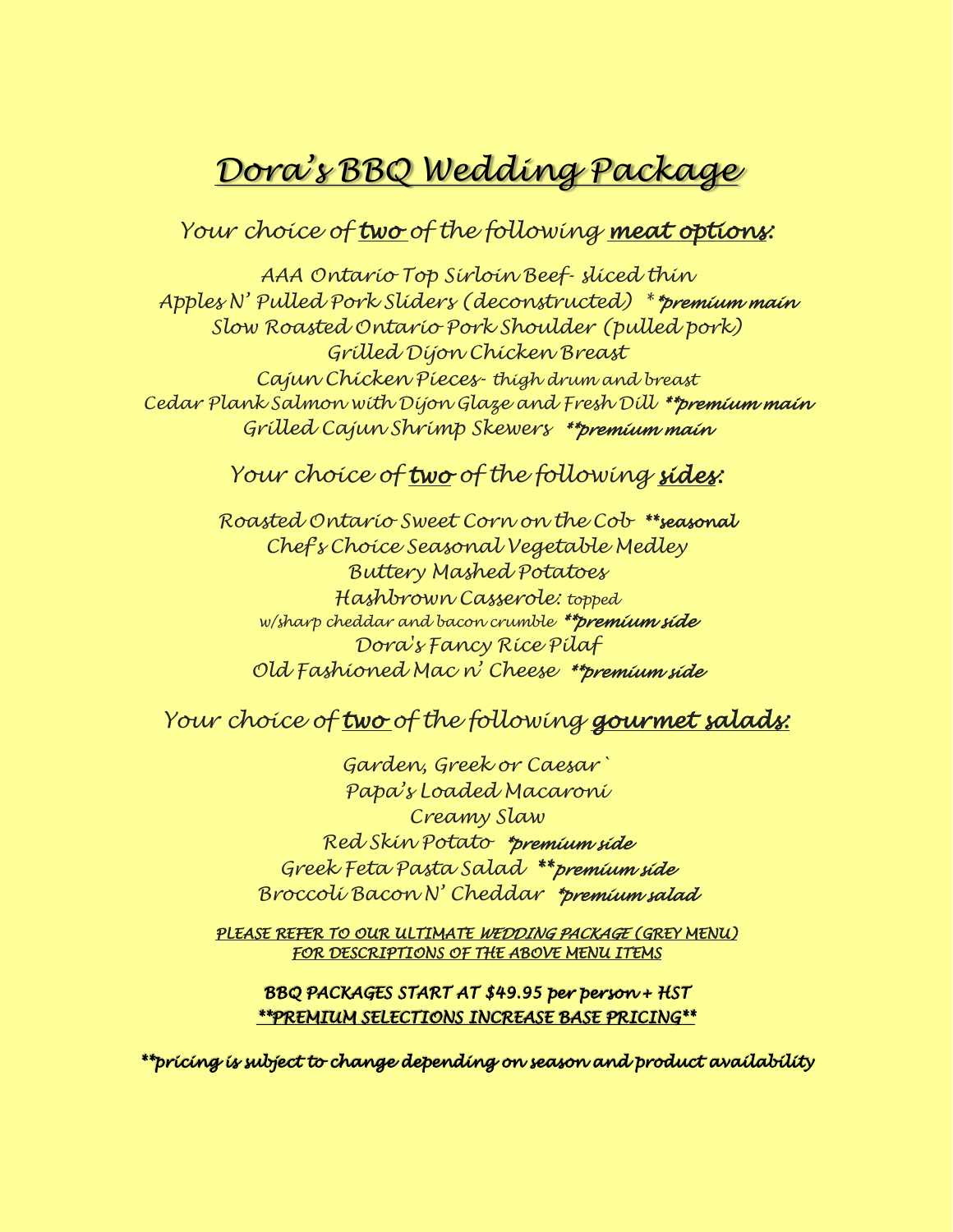### *Dora's BBQ Wedding Package*

#### *Your choice of two of the following meat options:*

*AAA Ontario Top Sirloin Beef- sliced thin Apples N' Pulled Pork Sliders (deconstructed) \*\*premium main Slow Roasted Ontario Pork Shoulder (pulled pork) Grilled Dijon Chicken Breast Cajun Chicken Pieces- thigh drum and breast Cedar Plank Salmon with Dijon Glaze and Fresh Dill \*\*premium main Grilled Cajun Shrimp Skewers \*\*premium main*

#### *Your choice of two of the following sides:*

*Roasted Ontario Sweet Corn on the Cob \*\*seasonal Chef's Choice Seasonal Vegetable Medley Buttery Mashed Potatoes Hashbrown Casserole: topped w/sharp cheddar and bacon crumble \*\*premium side Dora's Fancy Rice Pilaf Old Fashioned Mac n' Cheese \*\*premium side*

### *Your choice of two of the following gourmet salads:*

*Garden, Greek or Caesar` Papa's Loaded Macaroni Creamy Slaw Red Skin Potato \*premium side Greek Feta Pasta Salad \*\*premium side Broccoli Bacon N' Cheddar \*premium salad* 

*PLEASE REFER TO OUR ULTIMATE WEDDING PACKAGE (GREY MENU) FOR DESCRIPTIONS OF THE ABOVE MENU ITEMS* 

#### *BBQ PACKAGES START AT \$49.95 per person + HST \*\*PREMIUM SELECTIONS INCREASE BASE PRICING\*\**

*\*\*pricing is subject to change depending on season and product availability*